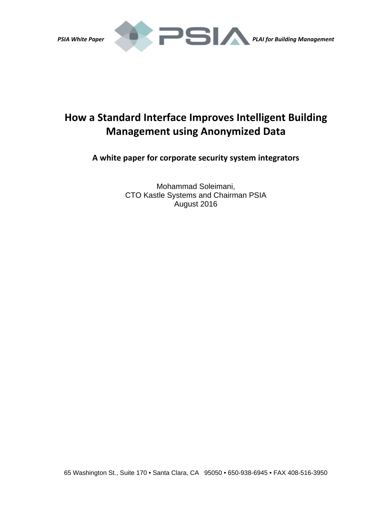

# **How a Standard Interface Improves Intelligent Building Management using Anonymized Data**

**A white paper for corporate security system integrators**

Mohammad Soleimani, CTO Kastle Systems and Chairman PSIA August 2016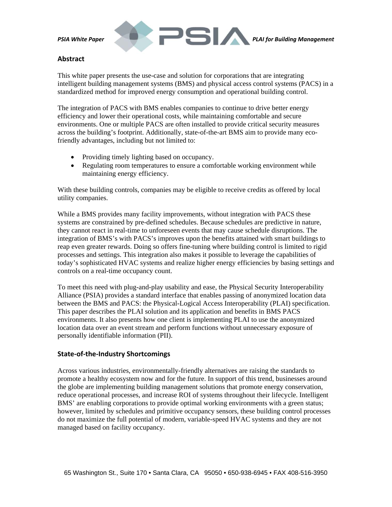

# **Abstract**

This white paper presents the use-case and solution for corporations that are integrating intelligent building management systems (BMS) and physical access control systems (PACS) in a standardized method for improved energy consumption and operational building control.

The integration of PACS with BMS enables companies to continue to drive better energy efficiency and lower their operational costs, while maintaining comfortable and secure environments. One or multiple PACS are often installed to provide critical security measures across the building's footprint. Additionally, state-of-the-art BMS aim to provide many ecofriendly advantages, including but not limited to:

- Providing timely lighting based on occupancy.
- Regulating room temperatures to ensure a comfortable working environment while maintaining energy efficiency.

With these building controls, companies may be eligible to receive credits as offered by local utility companies.

While a BMS provides many facility improvements, without integration with PACS these systems are constrained by pre-defined schedules. Because schedules are predictive in nature, they cannot react in real-time to unforeseen events that may cause schedule disruptions. The integration of BMS's with PACS's improves upon the benefits attained with smart buildings to reap even greater rewards. Doing so offers fine-tuning where building control is limited to rigid processes and settings. This integration also makes it possible to leverage the capabilities of today's sophisticated HVAC systems and realize higher energy efficiencies by basing settings and controls on a real-time occupancy count.

To meet this need with plug-and-play usability and ease, the Physical Security Interoperability Alliance (PSIA) provides a standard interface that enables passing of anonymized location data between the BMS and PACS: the Physical-Logical Access Interoperability (PLAI) specification. This paper describes the PLAI solution and its application and benefits in BMS PACS environments. It also presents how one client is implementing PLAI to use the anonymized location data over an event stream and perform functions without unnecessary exposure of personally identifiable information (PII).

# **State‐of‐the‐Industry Shortcomings**

Across various industries, environmentally-friendly alternatives are raising the standards to promote a healthy ecosystem now and for the future. In support of this trend, businesses around the globe are implementing building management solutions that promote energy conservation, reduce operational processes, and increase ROI of systems throughout their lifecycle. Intelligent BMS' are enabling corporations to provide optimal working environments with a green status; however, limited by schedules and primitive occupancy sensors, these building control processes do not maximize the full potential of modern, variable-speed HVAC systems and they are not managed based on facility occupancy.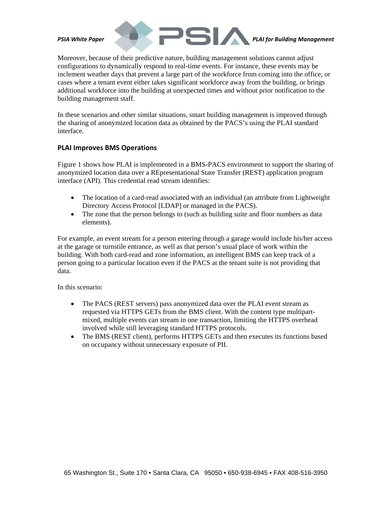

Moreover, because of their predictive nature, building management solutions cannot adjust configurations to dynamically respond to real-time events. For instance, these events may be inclement weather days that prevent a large part of the workforce from coming into the office, or cases where a tenant event either takes significant workforce away from the building, or brings additional workforce into the building at unexpected times and without prior notification to the building management staff.

In these scenarios and other similar situations, smart building management is improved through the sharing of anonymized location data as obtained by the PACS's using the PLAI standard interface.

### **PLAI Improves BMS Operations**

Figure 1 shows how PLAI is implemented in a BMS-PACS environment to support the sharing of anonymized location data over a REpresentational State Transfer (REST) application program interface (API). This credential read stream identifies:

- The location of a card-read associated with an individual (an attribute from Lightweight Directory Access Protocol [LDAP] or managed in the PACS).
- The zone that the person belongs to (such as building suite and floor numbers as data elements).

For example, an event stream for a person entering through a garage would include his/her access at the garage or turnstile entrance, as well as that person's usual place of work within the building. With both card-read and zone information, an intelligent BMS can keep track of a person going to a particular location even if the PACS at the tenant suite is not providing that data.

In this scenario:

- The PACS (REST servers) pass anonymized data over the PLAI event stream as requested via HTTPS GETs from the BMS client. With the content type multipartmixed, multiple events can stream in one transaction, limiting the HTTPS overhead involved while still leveraging standard HTTPS protocols.
- The BMS (REST client), performs HTTPS GETs and then executes its functions based on occupancy without unnecessary exposure of PII.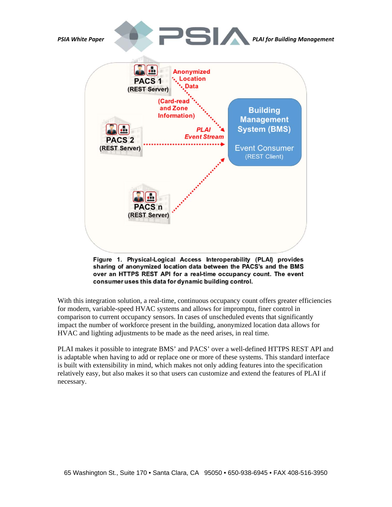

Figure 1. Physical-Logical Access Interoperability (PLAI) provides sharing of anonymized location data between the PACS's and the BMS over an HTTPS REST API for a real-time occupancy count. The event consumer uses this data for dynamic building control.

With this integration solution, a real-time, continuous occupancy count offers greater efficiencies for modern, variable-speed HVAC systems and allows for impromptu, finer control in comparison to current occupancy sensors. In cases of unscheduled events that significantly impact the number of workforce present in the building, anonymized location data allows for HVAC and lighting adjustments to be made as the need arises, in real time.

PLAI makes it possible to integrate BMS' and PACS' over a well-defined HTTPS REST API and is adaptable when having to add or replace one or more of these systems. This standard interface is built with extensibility in mind, which makes not only adding features into the specification relatively easy, but also makes it so that users can customize and extend the features of PLAI if necessary.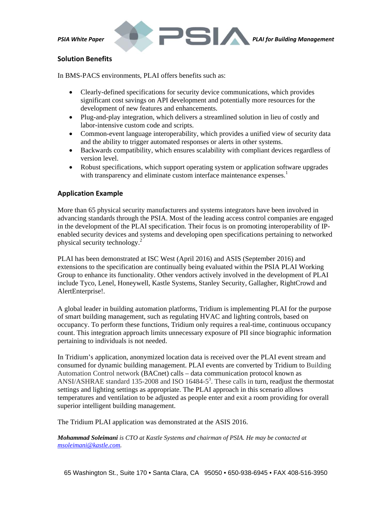

# **Solution Benefits**

In BMS-PACS environments, PLAI offers benefits such as:

- Clearly-defined specifications for security device communications, which provides significant cost savings on API development and potentially more resources for the development of new features and enhancements.
- Plug-and-play integration, which delivers a streamlined solution in lieu of costly and labor-intensive custom code and scripts.
- Common-event language interoperability, which provides a unified view of security data and the ability to trigger automated responses or alerts in other systems.
- Backwards compatibility, which ensures scalability with compliant devices regardless of version level.
- Robust specifications, which support operating system or application software upgrades with transparency and eliminate custom interface maintenance expenses.<sup>1</sup>

# **Application Example**

More than 65 physical security manufacturers and systems integrators have been involved in advancing standards through the PSIA. Most of the leading access control companies are engaged in the development of the PLAI specification. Their focus is on promoting interoperability of IPenabled security devices and systems and developing open specifications pertaining to networked physical security technology.2

PLAI has been demonstrated at ISC West (April 2016) and ASIS (September 2016) and extensions to the specification are continually being evaluated within the PSIA PLAI Working Group to enhance its functionality. Other vendors actively involved in the development of PLAI include Tyco, Lenel, Honeywell, Kastle Systems, Stanley Security, Gallagher, RightCrowd and AlertEnterprise!.

A global leader in building automation platforms, Tridium is implementing PLAI for the purpose of smart building management, such as regulating HVAC and lighting controls, based on occupancy. To perform these functions, Tridium only requires a real-time, continuous occupancy count. This integration approach limits unnecessary exposure of PII since biographic information pertaining to individuals is not needed.

In Tridium's application, anonymized location data is received over the PLAI event stream and consumed for dynamic building management. PLAI events are converted by Tridium to Building Automation Control network (BACnet) calls – data communication protocol known as ANSI/ASHRAE standard 135-2008 and ISO 16484-5<sup>3</sup>. These calls in turn, readjust the thermostat settings and lighting settings as appropriate. The PLAI approach in this scenario allows temperatures and ventilation to be adjusted as people enter and exit a room providing for overall superior intelligent building management.

The Tridium PLAI application was demonstrated at the ASIS 2016.

*Mohammad Soleimani is CTO at Kastle Systems and chairman of PSIA. He may be contacted at msoleimani@kastle.com.*